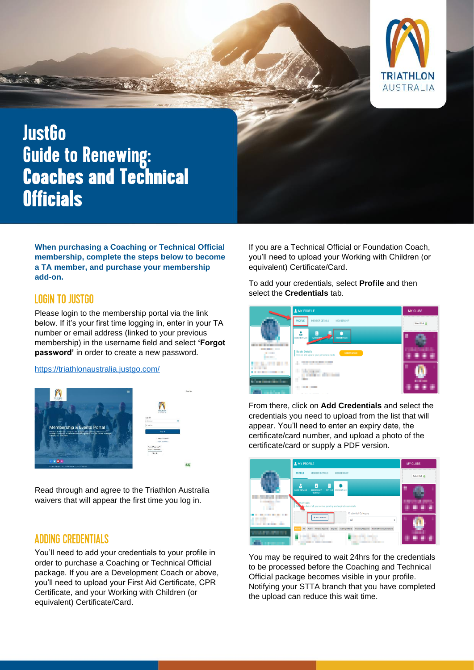

# **JustGo Guide to Renewing: Coaches and Technical Officials**

**When purchasing a Coaching or Technical Official membership, complete the steps below to become a TA member, and purchase your membership add-on.**

## **LOGIN TO JUSTGO**

Please login to the membership portal via the link below. If it's your first time logging in, enter in your TA number or email address (linked to your previous membership) in the username field and select **'Forgot password'** in order to create a new password.

<https://triathlonaustralia.justgo.com/>



Read through and agree to the Triathlon Australia waivers that will appear the first time you log in.

#### **ADDING CREDENTIALS**

You'll need to add your credentials to your profile in order to purchase a Coaching or Technical Official package. If you are a Development Coach or above, you'll need to upload your First Aid Certificate, CPR Certificate, and your Working with Children (or equivalent) Certificate/Card.

If you are a Technical Official or Foundation Coach, you'll need to upload your Working with Children (or equivalent) Certificate/Card.

To add your credentials, select **Profile** and then select the **Credentials** tab.



From there, click on **Add Credentials** and select the credentials you need to upload from the list that will appear. You'll need to enter an expiry date, the certificate/card number, and upload a photo of the certificate/card or supply a PDF version.



You may be required to wait 24hrs for the credentials to be processed before the Coaching and Technical Official package becomes visible in your profile. Notifying your STTA branch that you have completed the upload can reduce this wait time.